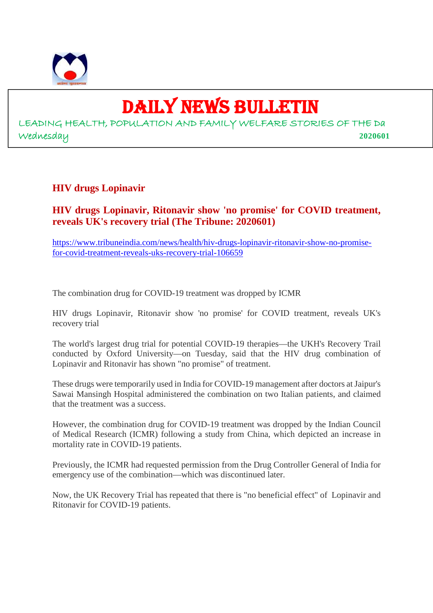

# DAILY NEWS BULLETIN

LEADING HEALTH, POPULATION AND FAMILY WELFARE STORIES OF THE Da Wednesday **2020601**

# **HIV drugs Lopinavir**

# **HIV drugs Lopinavir, Ritonavir show 'no promise' for COVID treatment, reveals UK's recovery trial (The Tribune: 2020601)**

https://www.tribuneindia.com/news/health/hiv-drugs-lopinavir-ritonavir-show-no-promisefor-covid-treatment-reveals-uks-recovery-trial-106659

The combination drug for COVID-19 treatment was dropped by ICMR

HIV drugs Lopinavir, Ritonavir show 'no promise' for COVID treatment, reveals UK's recovery trial

The world's largest drug trial for potential COVID-19 therapies—the UKH's Recovery Trail conducted by Oxford University—on Tuesday, said that the HIV drug combination of Lopinavir and Ritonavir has shown "no promise" of treatment.

These drugs were temporarily used in India for COVID-19 management after doctors at Jaipur's Sawai Mansingh Hospital administered the combination on two Italian patients, and claimed that the treatment was a success.

However, the combination drug for COVID-19 treatment was dropped by the Indian Council of Medical Research (ICMR) following a study from China, which depicted an increase in mortality rate in COVID-19 patients.

Previously, the ICMR had requested permission from the Drug Controller General of India for emergency use of the combination—which was discontinued later.

Now, the UK Recovery Trial has repeated that there is "no beneficial effect" of Lopinavir and Ritonavir for COVID-19 patients.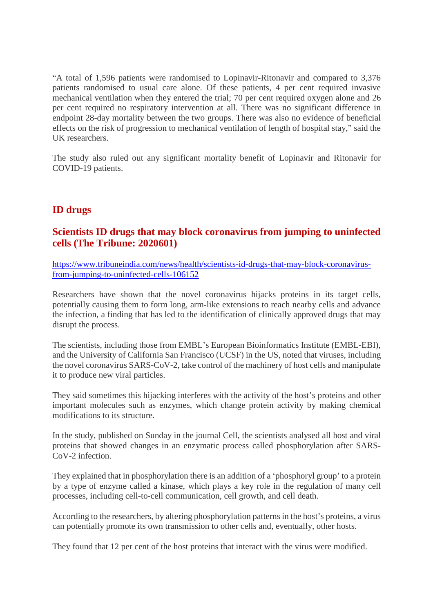"A total of 1,596 patients were randomised to Lopinavir-Ritonavir and compared to 3,376 patients randomised to usual care alone. Of these patients, 4 per cent required invasive mechanical ventilation when they entered the trial; 70 per cent required oxygen alone and 26 per cent required no respiratory intervention at all. There was no significant difference in endpoint 28-day mortality between the two groups. There was also no evidence of beneficial effects on the risk of progression to mechanical ventilation of length of hospital stay," said the UK researchers.

The study also ruled out any significant mortality benefit of Lopinavir and Ritonavir for COVID-19 patients.

#### **ID drugs**

#### **Scientists ID drugs that may block coronavirus from jumping to uninfected cells (The Tribune: 2020601)**

https://www.tribuneindia.com/news/health/scientists-id-drugs-that-may-block-coronavirusfrom-jumping-to-uninfected-cells-106152

Researchers have shown that the novel coronavirus hijacks proteins in its target cells, potentially causing them to form long, arm-like extensions to reach nearby cells and advance the infection, a finding that has led to the identification of clinically approved drugs that may disrupt the process.

The scientists, including those from EMBL's European Bioinformatics Institute (EMBL-EBI), and the University of California San Francisco (UCSF) in the US, noted that viruses, including the novel coronavirus SARS-CoV-2, take control of the machinery of host cells and manipulate it to produce new viral particles.

They said sometimes this hijacking interferes with the activity of the host's proteins and other important molecules such as enzymes, which change protein activity by making chemical modifications to its structure.

In the study, published on Sunday in the journal Cell, the scientists analysed all host and viral proteins that showed changes in an enzymatic process called phosphorylation after SARS-CoV-2 infection.

They explained that in phosphorylation there is an addition of a 'phosphoryl group' to a protein by a type of enzyme called a kinase, which plays a key role in the regulation of many cell processes, including cell-to-cell communication, cell growth, and cell death.

According to the researchers, by altering phosphorylation patterns in the host's proteins, a virus can potentially promote its own transmission to other cells and, eventually, other hosts.

They found that 12 per cent of the host proteins that interact with the virus were modified.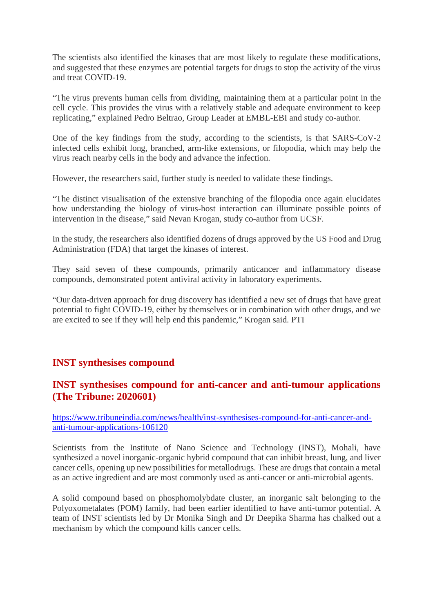The scientists also identified the kinases that are most likely to regulate these modifications, and suggested that these enzymes are potential targets for drugs to stop the activity of the virus and treat COVID-19.

"The virus prevents human cells from dividing, maintaining them at a particular point in the cell cycle. This provides the virus with a relatively stable and adequate environment to keep replicating," explained Pedro Beltrao, Group Leader at EMBL-EBI and study co-author.

One of the key findings from the study, according to the scientists, is that SARS-CoV-2 infected cells exhibit long, branched, arm-like extensions, or filopodia, which may help the virus reach nearby cells in the body and advance the infection.

However, the researchers said, further study is needed to validate these findings.

"The distinct visualisation of the extensive branching of the filopodia once again elucidates how understanding the biology of virus-host interaction can illuminate possible points of intervention in the disease," said Nevan Krogan, study co-author from UCSF.

In the study, the researchers also identified dozens of drugs approved by the US Food and Drug Administration (FDA) that target the kinases of interest.

They said seven of these compounds, primarily anticancer and inflammatory disease compounds, demonstrated potent antiviral activity in laboratory experiments.

"Our data-driven approach for drug discovery has identified a new set of drugs that have great potential to fight COVID-19, either by themselves or in combination with other drugs, and we are excited to see if they will help end this pandemic," Krogan said. PTI

# **INST synthesises compound**

# **INST synthesises compound for anti-cancer and anti-tumour applications (The Tribune: 2020601)**

https://www.tribuneindia.com/news/health/inst-synthesises-compound-for-anti-cancer-andanti-tumour-applications-106120

Scientists from the Institute of Nano Science and Technology (INST), Mohali, have synthesized a novel inorganic-organic hybrid compound that can inhibit breast, lung, and liver cancer cells, opening up new possibilities for metallodrugs. These are drugs that contain a metal as an active ingredient and are most commonly used as anti-cancer or anti-microbial agents.

A solid compound based on phosphomolybdate cluster, an inorganic salt belonging to the Polyoxometalates (POM) family, had been earlier identified to have anti-tumor potential. A team of INST scientists led by Dr Monika Singh and Dr Deepika Sharma has chalked out a mechanism by which the compound kills cancer cells.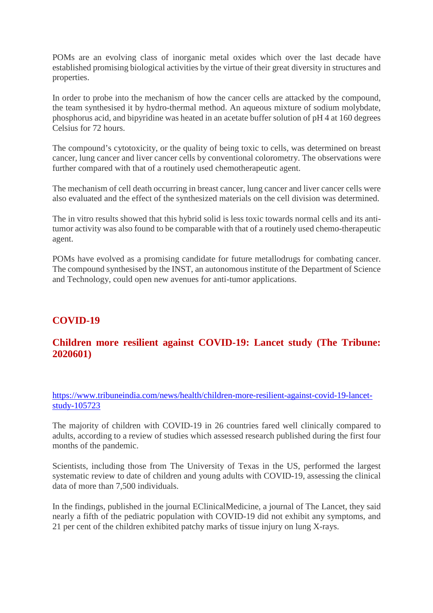POMs are an evolving class of inorganic metal oxides which over the last decade have established promising biological activities by the virtue of their great diversity in structures and properties.

In order to probe into the mechanism of how the cancer cells are attacked by the compound, the team synthesised it by hydro-thermal method. An aqueous mixture of sodium molybdate, phosphorus acid, and bipyridine was heated in an acetate buffer solution of pH 4 at 160 degrees Celsius for 72 hours.

The compound's cytotoxicity, or the quality of being toxic to cells, was determined on breast cancer, lung cancer and liver cancer cells by conventional colorometry. The observations were further compared with that of a routinely used chemotherapeutic agent.

The mechanism of cell death occurring in breast cancer, lung cancer and liver cancer cells were also evaluated and the effect of the synthesized materials on the cell division was determined.

The in vitro results showed that this hybrid solid is less toxic towards normal cells and its antitumor activity was also found to be comparable with that of a routinely used chemo-therapeutic agent.

POMs have evolved as a promising candidate for future metallodrugs for combating cancer. The compound synthesised by the INST, an autonomous institute of the Department of Science and Technology, could open new avenues for anti-tumor applications.

# **COVID-19**

# **Children more resilient against COVID-19: Lancet study (The Tribune: 2020601)**

https://www.tribuneindia.com/news/health/children-more-resilient-against-covid-19-lancetstudy-105723

The majority of children with COVID-19 in 26 countries fared well clinically compared to adults, according to a review of studies which assessed research published during the first four months of the pandemic.

Scientists, including those from The University of Texas in the US, performed the largest systematic review to date of children and young adults with COVID-19, assessing the clinical data of more than 7,500 individuals.

In the findings, published in the journal EClinicalMedicine, a journal of The Lancet, they said nearly a fifth of the pediatric population with COVID-19 did not exhibit any symptoms, and 21 per cent of the children exhibited patchy marks of tissue injury on lung X-rays.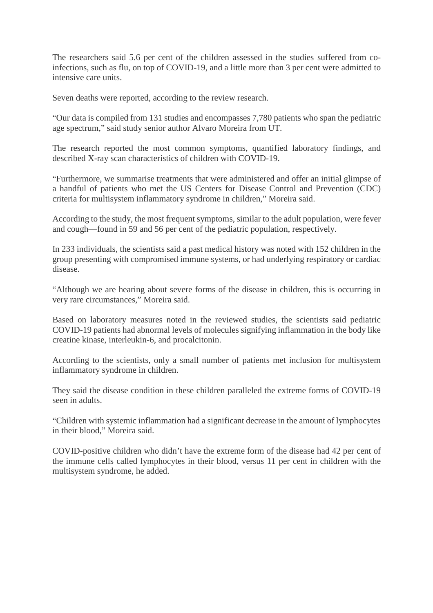The researchers said 5.6 per cent of the children assessed in the studies suffered from coinfections, such as flu, on top of COVID-19, and a little more than 3 per cent were admitted to intensive care units.

Seven deaths were reported, according to the review research.

"Our data is compiled from 131 studies and encompasses 7,780 patients who span the pediatric age spectrum," said study senior author Alvaro Moreira from UT.

The research reported the most common symptoms, quantified laboratory findings, and described X-ray scan characteristics of children with COVID-19.

"Furthermore, we summarise treatments that were administered and offer an initial glimpse of a handful of patients who met the US Centers for Disease Control and Prevention (CDC) criteria for multisystem inflammatory syndrome in children," Moreira said.

According to the study, the most frequent symptoms, similar to the adult population, were fever and cough—found in 59 and 56 per cent of the pediatric population, respectively.

In 233 individuals, the scientists said a past medical history was noted with 152 children in the group presenting with compromised immune systems, or had underlying respiratory or cardiac disease.

"Although we are hearing about severe forms of the disease in children, this is occurring in very rare circumstances," Moreira said.

Based on laboratory measures noted in the reviewed studies, the scientists said pediatric COVID-19 patients had abnormal levels of molecules signifying inflammation in the body like creatine kinase, interleukin-6, and procalcitonin.

According to the scientists, only a small number of patients met inclusion for multisystem inflammatory syndrome in children.

They said the disease condition in these children paralleled the extreme forms of COVID-19 seen in adults.

"Children with systemic inflammation had a significant decrease in the amount of lymphocytes in their blood," Moreira said.

COVID-positive children who didn't have the extreme form of the disease had 42 per cent of the immune cells called lymphocytes in their blood, versus 11 per cent in children with the multisystem syndrome, he added.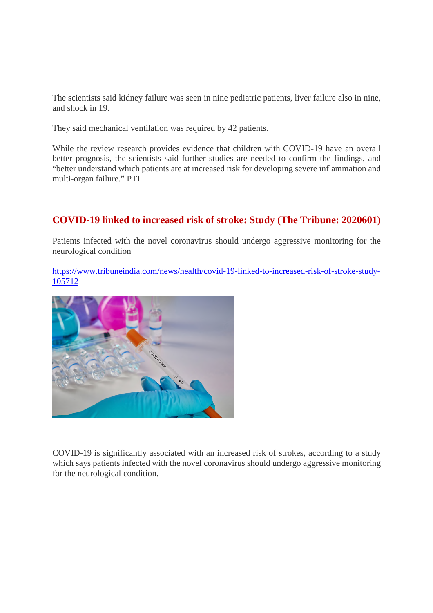The scientists said kidney failure was seen in nine pediatric patients, liver failure also in nine, and shock in 19.

They said mechanical ventilation was required by 42 patients.

While the review research provides evidence that children with COVID-19 have an overall better prognosis, the scientists said further studies are needed to confirm the findings, and "better understand which patients are at increased risk for developing severe inflammation and multi-organ failure." PTI

# **COVID-19 linked to increased risk of stroke: Study (The Tribune: 2020601)**

Patients infected with the novel coronavirus should undergo aggressive monitoring for the neurological condition

https://www.tribuneindia.com/news/health/covid-19-linked-to-increased-risk-of-stroke-study-105712



COVID-19 is significantly associated with an increased risk of strokes, according to a study which says patients infected with the novel coronavirus should undergo aggressive monitoring for the neurological condition.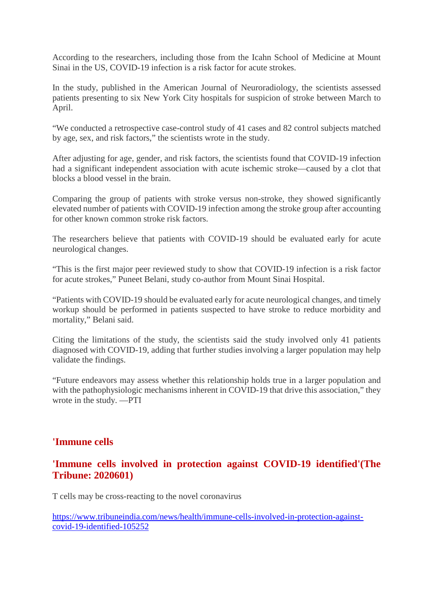According to the researchers, including those from the Icahn School of Medicine at Mount Sinai in the US, COVID-19 infection is a risk factor for acute strokes.

In the study, published in the American Journal of Neuroradiology, the scientists assessed patients presenting to six New York City hospitals for suspicion of stroke between March to April.

"We conducted a retrospective case-control study of 41 cases and 82 control subjects matched by age, sex, and risk factors," the scientists wrote in the study.

After adjusting for age, gender, and risk factors, the scientists found that COVID-19 infection had a significant independent association with acute ischemic stroke—caused by a clot that blocks a blood vessel in the brain.

Comparing the group of patients with stroke versus non-stroke, they showed significantly elevated number of patients with COVID-19 infection among the stroke group after accounting for other known common stroke risk factors.

The researchers believe that patients with COVID-19 should be evaluated early for acute neurological changes.

"This is the first major peer reviewed study to show that COVID-19 infection is a risk factor for acute strokes," Puneet Belani, study co-author from Mount Sinai Hospital.

"Patients with COVID-19 should be evaluated early for acute neurological changes, and timely workup should be performed in patients suspected to have stroke to reduce morbidity and mortality," Belani said.

Citing the limitations of the study, the scientists said the study involved only 41 patients diagnosed with COVID-19, adding that further studies involving a larger population may help validate the findings.

"Future endeavors may assess whether this relationship holds true in a larger population and with the pathophysiologic mechanisms inherent in COVID-19 that drive this association," they wrote in the study. —PTI

#### **'Immune cells**

# **'Immune cells involved in protection against COVID-19 identified'(The Tribune: 2020601)**

T cells may be cross-reacting to the novel coronavirus

https://www.tribuneindia.com/news/health/immune-cells-involved-in-protection-againstcovid-19-identified-105252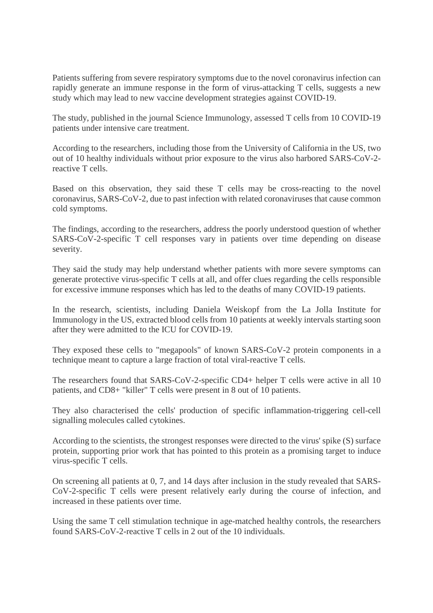Patients suffering from severe respiratory symptoms due to the novel coronavirus infection can rapidly generate an immune response in the form of virus-attacking T cells, suggests a new study which may lead to new vaccine development strategies against COVID-19.

The study, published in the journal Science Immunology, assessed T cells from 10 COVID-19 patients under intensive care treatment.

According to the researchers, including those from the University of California in the US, two out of 10 healthy individuals without prior exposure to the virus also harbored SARS-CoV-2 reactive T cells.

Based on this observation, they said these T cells may be cross-reacting to the novel coronavirus, SARS-CoV-2, due to past infection with related coronaviruses that cause common cold symptoms.

The findings, according to the researchers, address the poorly understood question of whether SARS-CoV-2-specific T cell responses vary in patients over time depending on disease severity.

They said the study may help understand whether patients with more severe symptoms can generate protective virus-specific T cells at all, and offer clues regarding the cells responsible for excessive immune responses which has led to the deaths of many COVID-19 patients.

In the research, scientists, including Daniela Weiskopf from the La Jolla Institute for Immunology in the US, extracted blood cells from 10 patients at weekly intervals starting soon after they were admitted to the ICU for COVID-19.

They exposed these cells to "megapools" of known SARS-CoV-2 protein components in a technique meant to capture a large fraction of total viral-reactive T cells.

The researchers found that SARS-CoV-2-specific CD4+ helper T cells were active in all 10 patients, and CD8+ "killer" T cells were present in 8 out of 10 patients.

They also characterised the cells' production of specific inflammation-triggering cell-cell signalling molecules called cytokines.

According to the scientists, the strongest responses were directed to the virus' spike (S) surface protein, supporting prior work that has pointed to this protein as a promising target to induce virus-specific T cells.

On screening all patients at 0, 7, and 14 days after inclusion in the study revealed that SARS-CoV-2-specific T cells were present relatively early during the course of infection, and increased in these patients over time.

Using the same T cell stimulation technique in age-matched healthy controls, the researchers found SARS-CoV-2-reactive T cells in 2 out of the 10 individuals.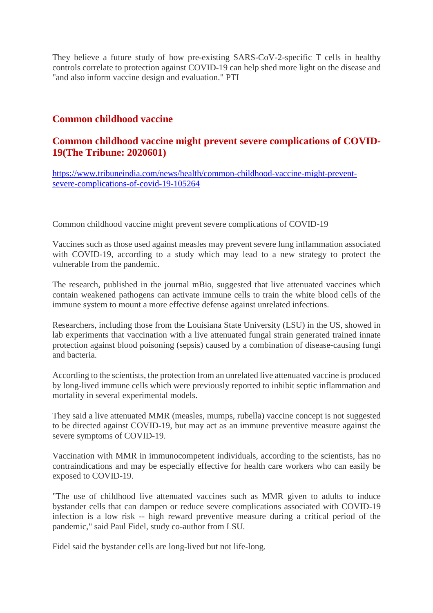They believe a future study of how pre-existing SARS-CoV-2-specific T cells in healthy controls correlate to protection against COVID-19 can help shed more light on the disease and "and also inform vaccine design and evaluation." PTI

# **Common childhood vaccine**

# **Common childhood vaccine might prevent severe complications of COVID-19(The Tribune: 2020601)**

https://www.tribuneindia.com/news/health/common-childhood-vaccine-might-preventsevere-complications-of-covid-19-105264

Common childhood vaccine might prevent severe complications of COVID-19

Vaccines such as those used against measles may prevent severe lung inflammation associated with COVID-19, according to a study which may lead to a new strategy to protect the vulnerable from the pandemic.

The research, published in the journal mBio, suggested that live attenuated vaccines which contain weakened pathogens can activate immune cells to train the white blood cells of the immune system to mount a more effective defense against unrelated infections.

Researchers, including those from the Louisiana State University (LSU) in the US, showed in lab experiments that vaccination with a live attenuated fungal strain generated trained innate protection against blood poisoning (sepsis) caused by a combination of disease-causing fungi and bacteria.

According to the scientists, the protection from an unrelated live attenuated vaccine is produced by long-lived immune cells which were previously reported to inhibit septic inflammation and mortality in several experimental models.

They said a live attenuated MMR (measles, mumps, rubella) vaccine concept is not suggested to be directed against COVID-19, but may act as an immune preventive measure against the severe symptoms of COVID-19.

Vaccination with MMR in immunocompetent individuals, according to the scientists, has no contraindications and may be especially effective for health care workers who can easily be exposed to COVID-19.

"The use of childhood live attenuated vaccines such as MMR given to adults to induce bystander cells that can dampen or reduce severe complications associated with COVID-19 infection is a low risk -- high reward preventive measure during a critical period of the pandemic," said Paul Fidel, study co-author from LSU.

Fidel said the bystander cells are long-lived but not life-long.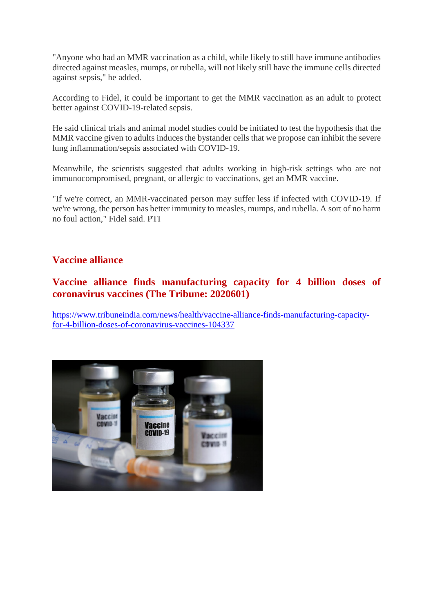"Anyone who had an MMR vaccination as a child, while likely to still have immune antibodies directed against measles, mumps, or rubella, will not likely still have the immune cells directed against sepsis," he added.

According to Fidel, it could be important to get the MMR vaccination as an adult to protect better against COVID-19-related sepsis.

He said clinical trials and animal model studies could be initiated to test the hypothesis that the MMR vaccine given to adults induces the bystander cells that we propose can inhibit the severe lung inflammation/sepsis associated with COVID-19.

Meanwhile, the scientists suggested that adults working in high-risk settings who are not immunocompromised, pregnant, or allergic to vaccinations, get an MMR vaccine.

"If we're correct, an MMR-vaccinated person may suffer less if infected with COVID-19. If we're wrong, the person has better immunity to measles, mumps, and rubella. A sort of no harm no foul action," Fidel said. PTI

#### **Vaccine alliance**

# **Vaccine alliance finds manufacturing capacity for 4 billion doses of coronavirus vaccines (The Tribune: 2020601)**

https://www.tribuneindia.com/news/health/vaccine-alliance-finds-manufacturing-capacityfor-4-billion-doses-of-coronavirus-vaccines-104337

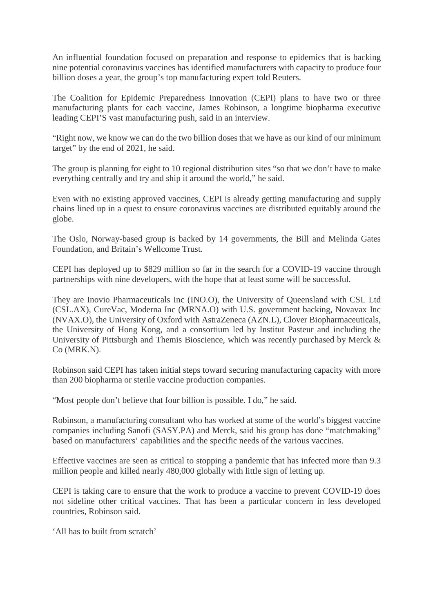An influential foundation focused on preparation and response to epidemics that is backing nine potential coronavirus vaccines has identified manufacturers with capacity to produce four billion doses a year, the group's top manufacturing expert told Reuters.

The Coalition for Epidemic Preparedness Innovation (CEPI) plans to have two or three manufacturing plants for each vaccine, James Robinson, a longtime biopharma executive leading CEPI'S vast manufacturing push, said in an interview.

"Right now, we know we can do the two billion doses that we have as our kind of our minimum target" by the end of 2021, he said.

The group is planning for eight to 10 regional distribution sites "so that we don't have to make everything centrally and try and ship it around the world," he said.

Even with no existing approved vaccines, CEPI is already getting manufacturing and supply chains lined up in a quest to ensure coronavirus vaccines are distributed equitably around the globe.

The Oslo, Norway-based group is backed by 14 governments, the Bill and Melinda Gates Foundation, and Britain's Wellcome Trust.

CEPI has deployed up to \$829 million so far in the search for a COVID-19 vaccine through partnerships with nine developers, with the hope that at least some will be successful.

They are Inovio Pharmaceuticals Inc (INO.O), the University of Queensland with CSL Ltd (CSL.AX), CureVac, Moderna Inc (MRNA.O) with U.S. government backing, Novavax Inc (NVAX.O), the University of Oxford with AstraZeneca (AZN.L), Clover Biopharmaceuticals, the University of Hong Kong, and a consortium led by Institut Pasteur and including the University of Pittsburgh and Themis Bioscience, which was recently purchased by Merck & Co (MRK.N).

Robinson said CEPI has taken initial steps toward securing manufacturing capacity with more than 200 biopharma or sterile vaccine production companies.

"Most people don't believe that four billion is possible. I do," he said.

Robinson, a manufacturing consultant who has worked at some of the world's biggest vaccine companies including Sanofi (SASY.PA) and Merck, said his group has done "matchmaking" based on manufacturers' capabilities and the specific needs of the various vaccines.

Effective vaccines are seen as critical to stopping a pandemic that has infected more than 9.3 million people and killed nearly 480,000 globally with little sign of letting up.

CEPI is taking care to ensure that the work to produce a vaccine to prevent COVID-19 does not sideline other critical vaccines. That has been a particular concern in less developed countries, Robinson said.

'All has to built from scratch'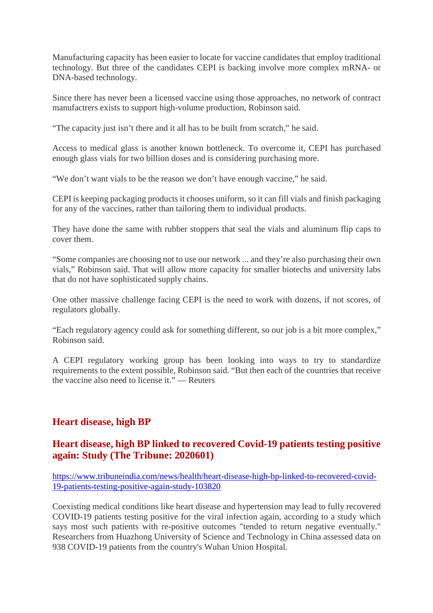Manufacturing capacity has been easier to locate for vaccine candidates that employ traditional technology. But three of the candidates CEPI is backing involve more complex mRNA- or DNA-based technology.

Since there has never been a licensed vaccine using those approaches, no network of contract manufactrers exists to support high-volume production, Robinson said.

"The capacity just isn't there and it all has to be built from scratch," he said.

Access to medical glass is another known bottleneck. To overcome it, CEPI has purchased enough glass vials for two billion doses and is considering purchasing more.

"We don't want vials to be the reason we don't have enough vaccine," he said.

CEPI is keeping packaging products it chooses uniform, so it can fill vials and finish packaging for any of the vaccines, rather than tailoring them to individual products.

They have done the same with rubber stoppers that seal the vials and aluminum flip caps to cover them.

"Some companies are choosing not to use our network ... and they're also purchasing their own vials," Robinson said. That will allow more capacity for smaller biotechs and university labs that do not have sophisticated supply chains.

One other massive challenge facing CEPI is the need to work with dozens, if not scores, of regulators globally.

"Each regulatory agency could ask for something different, so our job is a bit more complex," Robinson said.

A CEPI regulatory working group has been looking into ways to try to standardize requirements to the extent possible, Robinson said. "But then each of the countries that receive the vaccine also need to license it." — Reuters

# **Heart disease, high BP**

# **Heart disease, high BP linked to recovered Covid-19 patients testing positive again: Study (The Tribune: 2020601)**

https://www.tribuneindia.com/news/health/heart-disease-high-bp-linked-to-recovered-covid-19-patients-testing-positive-again-study-103820

Coexisting medical conditions like heart disease and hypertension may lead to fully recovered COVID-19 patients testing positive for the viral infection again, according to a study which says most such patients with re-positive outcomes "tended to return negative eventually." Researchers from Huazhong University of Science and Technology in China assessed data on 938 COVID-19 patients from the country's Wuhan Union Hospital.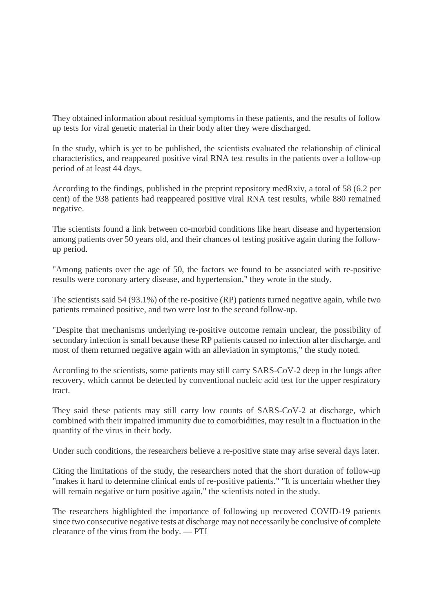They obtained information about residual symptoms in these patients, and the results of follow up tests for viral genetic material in their body after they were discharged.

In the study, which is yet to be published, the scientists evaluated the relationship of clinical characteristics, and reappeared positive viral RNA test results in the patients over a follow-up period of at least 44 days.

According to the findings, published in the preprint repository medRxiv, a total of 58 (6.2 per cent) of the 938 patients had reappeared positive viral RNA test results, while 880 remained negative.

The scientists found a link between co-morbid conditions like heart disease and hypertension among patients over 50 years old, and their chances of testing positive again during the followup period.

"Among patients over the age of 50, the factors we found to be associated with re-positive results were coronary artery disease, and hypertension," they wrote in the study.

The scientists said 54 (93.1%) of the re-positive (RP) patients turned negative again, while two patients remained positive, and two were lost to the second follow-up.

"Despite that mechanisms underlying re-positive outcome remain unclear, the possibility of secondary infection is small because these RP patients caused no infection after discharge, and most of them returned negative again with an alleviation in symptoms," the study noted.

According to the scientists, some patients may still carry SARS-CoV-2 deep in the lungs after recovery, which cannot be detected by conventional nucleic acid test for the upper respiratory tract.

They said these patients may still carry low counts of SARS-CoV-2 at discharge, which combined with their impaired immunity due to comorbidities, may result in a fluctuation in the quantity of the virus in their body.

Under such conditions, the researchers believe a re-positive state may arise several days later.

Citing the limitations of the study, the researchers noted that the short duration of follow-up "makes it hard to determine clinical ends of re-positive patients." "It is uncertain whether they will remain negative or turn positive again," the scientists noted in the study.

The researchers highlighted the importance of following up recovered COVID-19 patients since two consecutive negative tests at discharge may not necessarily be conclusive of complete clearance of the virus from the body. — PTI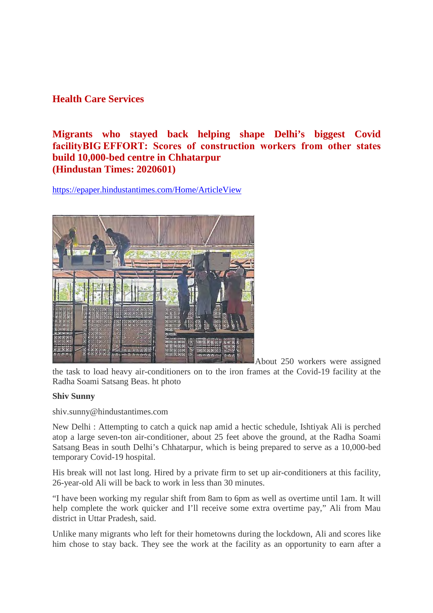# **Health Care Services**

# **Migrants who stayed back helping shape Delhi's biggest Covid facilityBIG EFFORT: Scores of construction workers from other states build 10,000-bed centre in Chhatarpur (Hindustan Times: 2020601)**

https://epaper.hindustantimes.com/Home/ArticleView



About 250 workers were assigned

the task to load heavy air-conditioners on to the iron frames at the Covid-19 facility at the Radha Soami Satsang Beas. ht photo

#### **Shiv Sunny**

shiv.sunny@hindustantimes.com

New Delhi : Attempting to catch a quick nap amid a hectic schedule, Ishtiyak Ali is perched atop a large seven-ton air-conditioner, about 25 feet above the ground, at the Radha Soami Satsang Beas in south Delhi's Chhatarpur, which is being prepared to serve as a 10,000-bed temporary Covid-19 hospital.

His break will not last long. Hired by a private firm to set up air-conditioners at this facility, 26-year-old Ali will be back to work in less than 30 minutes.

"I have been working my regular shift from 8am to 6pm as well as overtime until 1am. It will help complete the work quicker and I'll receive some extra overtime pay," Ali from Mau district in Uttar Pradesh, said.

Unlike many migrants who left for their hometowns during the lockdown, Ali and scores like him chose to stay back. They see the work at the facility as an opportunity to earn after a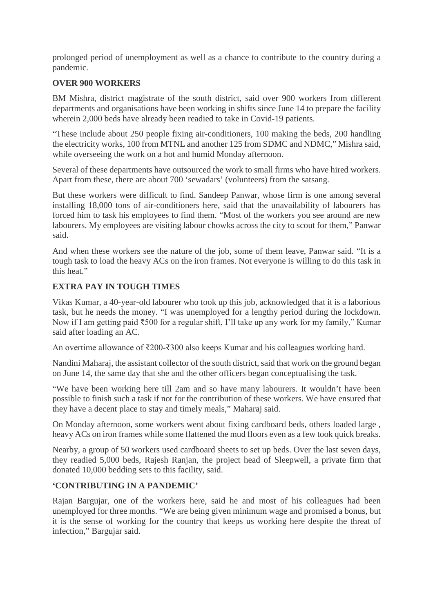prolonged period of unemployment as well as a chance to contribute to the country during a pandemic.

#### **OVER 900 WORKERS**

BM Mishra, district magistrate of the south district, said over 900 workers from different departments and organisations have been working in shifts since June 14 to prepare the facility wherein 2,000 beds have already been readied to take in Covid-19 patients.

"These include about 250 people fixing air-conditioners, 100 making the beds, 200 handling the electricity works, 100 from MTNL and another 125 from SDMC and NDMC," Mishra said, while overseeing the work on a hot and humid Monday afternoon.

Several of these departments have outsourced the work to small firms who have hired workers. Apart from these, there are about 700 'sewadars' (volunteers) from the satsang.

But these workers were difficult to find. Sandeep Panwar, whose firm is one among several installing 18,000 tons of air-conditioners here, said that the unavailability of labourers has forced him to task his employees to find them. "Most of the workers you see around are new labourers. My employees are visiting labour chowks across the city to scout for them," Panwar said.

And when these workers see the nature of the job, some of them leave, Panwar said. "It is a tough task to load the heavy ACs on the iron frames. Not everyone is willing to do this task in this heat."

#### **EXTRA PAY IN TOUGH TIMES**

Vikas Kumar, a 40-year-old labourer who took up this job, acknowledged that it is a laborious task, but he needs the money. "I was unemployed for a lengthy period during the lockdown. Now if I am getting paid ₹500 for a regular shift, I'll take up any work for my family," Kumar said after loading an AC.

An overtime allowance of ₹200-₹300 also keeps Kumar and his colleagues working hard.

Nandini Maharaj, the assistant collector of the south district, said that work on the ground began on June 14, the same day that she and the other officers began conceptualising the task.

"We have been working here till 2am and so have many labourers. It wouldn't have been possible to finish such a task if not for the contribution of these workers. We have ensured that they have a decent place to stay and timely meals," Maharaj said.

On Monday afternoon, some workers went about fixing cardboard beds, others loaded large , heavy ACs on iron frames while some flattened the mud floors even as a few took quick breaks.

Nearby, a group of 50 workers used cardboard sheets to set up beds. Over the last seven days, they readied 5,000 beds, Rajesh Ranjan, the project head of Sleepwell, a private firm that donated 10,000 bedding sets to this facility, said.

#### **'CONTRIBUTING IN A PANDEMIC'**

Rajan Bargujar, one of the workers here, said he and most of his colleagues had been unemployed for three months. "We are being given minimum wage and promised a bonus, but it is the sense of working for the country that keeps us working here despite the threat of infection," Bargujar said.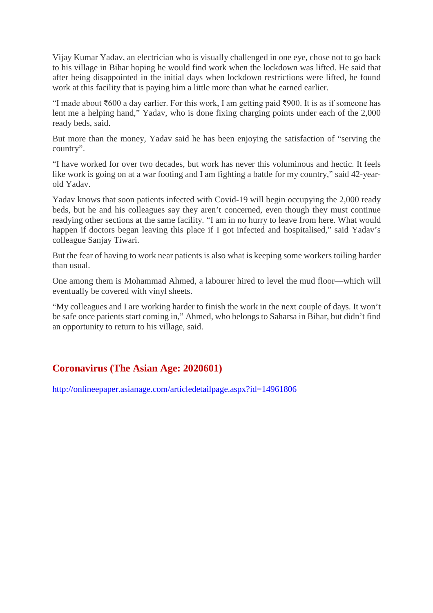Vijay Kumar Yadav, an electrician who is visually challenged in one eye, chose not to go back to his village in Bihar hoping he would find work when the lockdown was lifted. He said that after being disappointed in the initial days when lockdown restrictions were lifted, he found work at this facility that is paying him a little more than what he earned earlier.

"I made about ₹600 a day earlier. For this work, I am getting paid ₹900. It is as if someone has lent me a helping hand," Yadav, who is done fixing charging points under each of the 2,000 ready beds, said.

But more than the money, Yadav said he has been enjoying the satisfaction of "serving the country".

"I have worked for over two decades, but work has never this voluminous and hectic. It feels like work is going on at a war footing and I am fighting a battle for my country," said 42-yearold Yadav.

Yadav knows that soon patients infected with Covid-19 will begin occupying the 2,000 ready beds, but he and his colleagues say they aren't concerned, even though they must continue readying other sections at the same facility. "I am in no hurry to leave from here. What would happen if doctors began leaving this place if I got infected and hospitalised," said Yadav's colleague Sanjay Tiwari.

But the fear of having to work near patients is also what is keeping some workers toiling harder than usual.

One among them is Mohammad Ahmed, a labourer hired to level the mud floor—which will eventually be covered with vinyl sheets.

"My colleagues and I are working harder to finish the work in the next couple of days. It won't be safe once patients start coming in," Ahmed, who belongs to Saharsa in Bihar, but didn't find an opportunity to return to his village, said.

# **Coronavirus (The Asian Age: 2020601)**

http://onlineepaper.asianage.com/articledetailpage.aspx?id=14961806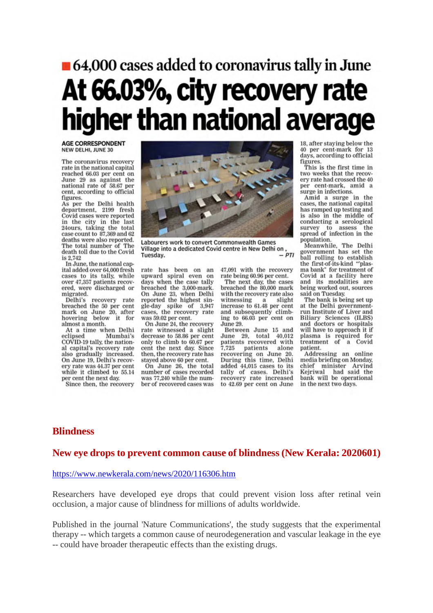# ■ 64,000 cases added to coronavirus tally in June At 66.03%, city recovery rate higher than national average

**AGE CORRESPONDENT** NEW DELHI, JUNE 30

The coronavirus recovery rate in the national capital reached 66.03 per cent on June 29 as against the national rate of 58.67 per cent, according to official figures.

As per the Delhi health department, 2199 fresh Covid cases were reported in the city in the last 24ours, taking the total case count to 87,369 and 62 deaths were also reported. The total number of The death toll due to the Covid is 2.742

In June, the national capital added over 64,000 fresh cases to its tally, while over 47,357 patients recovered, were discharged or migrated.

Delhi's recovery rate breached the 50 per cent mark on June 20, after<br>hovering below it for almost a month.

At a time when Delhi eclipsed Mumbai's COVID-19 tally, the national capital's recovery rate also gradually increased. On June 19, Delhi's recovery rate was 44.37 per cent. while it climbed to 55.14 per cent the next day.

Since then, the recovery



Labourers work to convert Commonwealth Games Village into a dedicated Covid centre in New Delhi on,  $-PTI$ Tuesday.

rate has been on an upward spiral even on days when the case tally breached the 3,000-mark. On June 23, when Delhi<br>reported the highest single-day spike of 3,947 cases, the recovery rate was 59.02 per cent.

On June 24, the recovery rate witnessed a slight decrease to 58.86 per cent only to climb to 60.67 per cent the next day. Since then, the recovery rate has stayed above 60 per cent.

On June 26, the total number of cases recorded was 77,240 while the number of recovered cases was 47,091 with the recovery rate being 60.96 per cent.

The next day, the cases breached the 80,000 mark with the recovery rate also witnessing slight  $\mathbf{a}$ increase to 61.48 per cent and subsequently climbing to 66.03 per cent on June 29.

Between June 15 and June 29, total 40,012 patients recovered with 7.725 patients alone recovering on June 20. During this time, Delhi<br>added 44,015 cases to its tally of cases. Delhi's<br>recovery rate increased to 42.69 per cent on June

18, after staving below the 40 per cent-mark for 13 days, according to official figures.

This is the first time in two weeks that the recovery rate had crossed the 40 per cent-mark, amid a surge in infections.

Amid a surge in the cases, the national capital has ramped up testing and is also in the middle of conducting a serological survey to assess the<br>spread of infection in the population.

Meanwhile, The Delhi<br>government has set the ball rolling to establish the first-of-its-kind "plasma bank" for treatment of<br>Covid at a facility here and its modalities are being worked out, sources said on Tuesday.

The bank is being set up at the Delhi governmentrun Institute of Liver and Biliary Sciences (ILBS) and doctors or hospitals will have to approach it if plasma is required for treatment of a Covid patient.

Addressing an online media briefing on Monday, chief minister Arvind Kejriwal had said the<br>bank will be operational in the next two days.

#### **Blindness**

#### **New eye drops to prevent common cause of blindness (New Kerala: 2020601)**

#### https://www.newkerala.com/news/2020/116306.htm

Researchers have developed eye drops that could prevent vision loss after retinal vein occlusion, a major cause of blindness for millions of adults worldwide.

Published in the journal 'Nature Communications', the study suggests that the experimental therapy -- which targets a common cause of neurodegeneration and vascular leakage in the eye -- could have broader therapeutic effects than the existing drugs.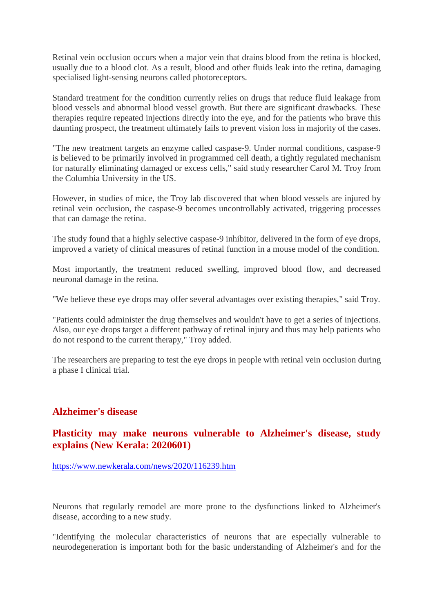Retinal vein occlusion occurs when a major vein that drains blood from the retina is blocked, usually due to a blood clot. As a result, blood and other fluids leak into the retina, damaging specialised light-sensing neurons called photoreceptors.

Standard treatment for the condition currently relies on drugs that reduce fluid leakage from blood vessels and abnormal blood vessel growth. But there are significant drawbacks. These therapies require repeated injections directly into the eye, and for the patients who brave this daunting prospect, the treatment ultimately fails to prevent vision loss in majority of the cases.

"The new treatment targets an enzyme called caspase-9. Under normal conditions, caspase-9 is believed to be primarily involved in programmed cell death, a tightly regulated mechanism for naturally eliminating damaged or excess cells," said study researcher Carol M. Troy from the Columbia University in the US.

However, in studies of mice, the Troy lab discovered that when blood vessels are injured by retinal vein occlusion, the caspase-9 becomes uncontrollably activated, triggering processes that can damage the retina.

The study found that a highly selective caspase-9 inhibitor, delivered in the form of eye drops, improved a variety of clinical measures of retinal function in a mouse model of the condition.

Most importantly, the treatment reduced swelling, improved blood flow, and decreased neuronal damage in the retina.

"We believe these eye drops may offer several advantages over existing therapies," said Troy.

"Patients could administer the drug themselves and wouldn't have to get a series of injections. Also, our eye drops target a different pathway of retinal injury and thus may help patients who do not respond to the current therapy," Troy added.

The researchers are preparing to test the eye drops in people with retinal vein occlusion during a phase I clinical trial.

#### **Alzheimer's disease**

# **Plasticity may make neurons vulnerable to Alzheimer's disease, study explains (New Kerala: 2020601)**

https://www.newkerala.com/news/2020/116239.htm

Neurons that regularly remodel are more prone to the dysfunctions linked to Alzheimer's disease, according to a new study.

"Identifying the molecular characteristics of neurons that are especially vulnerable to neurodegeneration is important both for the basic understanding of Alzheimer's and for the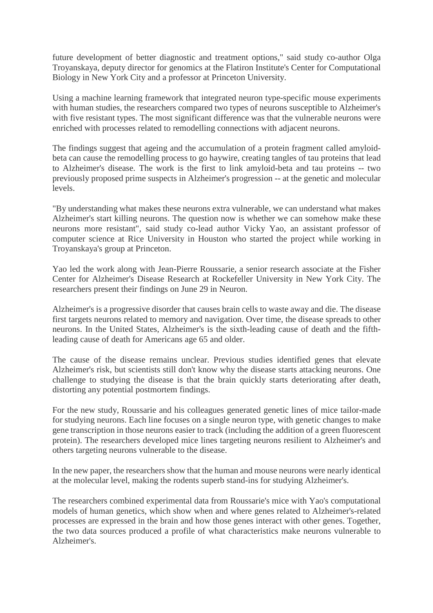future development of better diagnostic and treatment options," said study co-author Olga Troyanskaya, deputy director for genomics at the Flatiron Institute's Center for Computational Biology in New York City and a professor at Princeton University.

Using a machine learning framework that integrated neuron type-specific mouse experiments with human studies, the researchers compared two types of neurons susceptible to Alzheimer's with five resistant types. The most significant difference was that the vulnerable neurons were enriched with processes related to remodelling connections with adjacent neurons.

The findings suggest that ageing and the accumulation of a protein fragment called amyloidbeta can cause the remodelling process to go haywire, creating tangles of tau proteins that lead to Alzheimer's disease. The work is the first to link amyloid-beta and tau proteins -- two previously proposed prime suspects in Alzheimer's progression -- at the genetic and molecular levels.

"By understanding what makes these neurons extra vulnerable, we can understand what makes Alzheimer's start killing neurons. The question now is whether we can somehow make these neurons more resistant", said study co-lead author Vicky Yao, an assistant professor of computer science at Rice University in Houston who started the project while working in Troyanskaya's group at Princeton.

Yao led the work along with Jean-Pierre Roussarie, a senior research associate at the Fisher Center for Alzheimer's Disease Research at Rockefeller University in New York City. The researchers present their findings on June 29 in Neuron.

Alzheimer's is a progressive disorder that causes brain cells to waste away and die. The disease first targets neurons related to memory and navigation. Over time, the disease spreads to other neurons. In the United States, Alzheimer's is the sixth-leading cause of death and the fifthleading cause of death for Americans age 65 and older.

The cause of the disease remains unclear. Previous studies identified genes that elevate Alzheimer's risk, but scientists still don't know why the disease starts attacking neurons. One challenge to studying the disease is that the brain quickly starts deteriorating after death, distorting any potential postmortem findings.

For the new study, Roussarie and his colleagues generated genetic lines of mice tailor-made for studying neurons. Each line focuses on a single neuron type, with genetic changes to make gene transcription in those neurons easier to track (including the addition of a green fluorescent protein). The researchers developed mice lines targeting neurons resilient to Alzheimer's and others targeting neurons vulnerable to the disease.

In the new paper, the researchers show that the human and mouse neurons were nearly identical at the molecular level, making the rodents superb stand-ins for studying Alzheimer's.

The researchers combined experimental data from Roussarie's mice with Yao's computational models of human genetics, which show when and where genes related to Alzheimer's-related processes are expressed in the brain and how those genes interact with other genes. Together, the two data sources produced a profile of what characteristics make neurons vulnerable to Alzheimer's.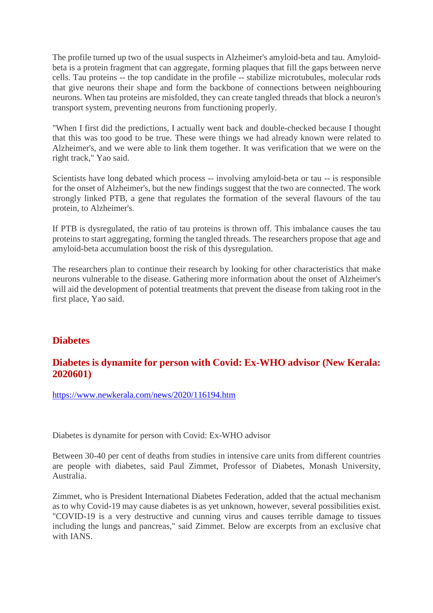The profile turned up two of the usual suspects in Alzheimer's amyloid-beta and tau. Amyloidbeta is a protein fragment that can aggregate, forming plaques that fill the gaps between nerve cells. Tau proteins -- the top candidate in the profile -- stabilize microtubules, molecular rods that give neurons their shape and form the backbone of connections between neighbouring neurons. When tau proteins are misfolded, they can create tangled threads that block a neuron's transport system, preventing neurons from functioning properly.

"When I first did the predictions, I actually went back and double-checked because I thought that this was too good to be true. These were things we had already known were related to Alzheimer's, and we were able to link them together. It was verification that we were on the right track," Yao said.

Scientists have long debated which process -- involving amyloid-beta or tau -- is responsible for the onset of Alzheimer's, but the new findings suggest that the two are connected. The work strongly linked PTB, a gene that regulates the formation of the several flavours of the tau protein, to Alzheimer's.

If PTB is dysregulated, the ratio of tau proteins is thrown off. This imbalance causes the tau proteins to start aggregating, forming the tangled threads. The researchers propose that age and amyloid-beta accumulation boost the risk of this dysregulation.

The researchers plan to continue their research by looking for other characteristics that make neurons vulnerable to the disease. Gathering more information about the onset of Alzheimer's will aid the development of potential treatments that prevent the disease from taking root in the first place, Yao said.

#### **Diabetes**

# **Diabetes is dynamite for person with Covid: Ex-WHO advisor (New Kerala: 2020601)**

https://www.newkerala.com/news/2020/116194.htm

Diabetes is dynamite for person with Covid: Ex-WHO advisor

Between 30-40 per cent of deaths from studies in intensive care units from different countries are people with diabetes, said Paul Zimmet, Professor of Diabetes, Monash University, Australia.

Zimmet, who is President International Diabetes Federation, added that the actual mechanism as to why Covid-19 may cause diabetes is as yet unknown, however, several possibilities exist. "COVID-19 is a very destructive and cunning virus and causes terrible damage to tissues including the lungs and pancreas," said Zimmet. Below are excerpts from an exclusive chat with IANS.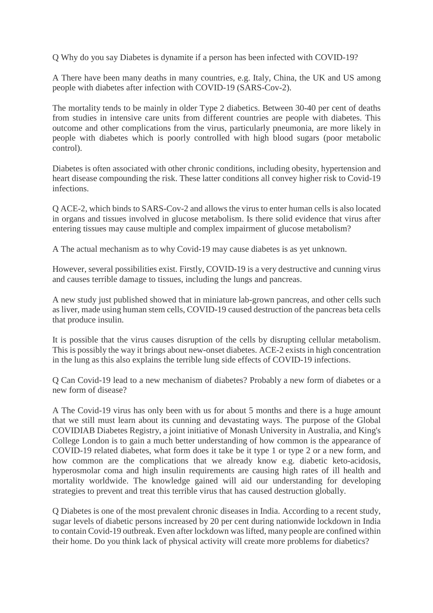Q Why do you say Diabetes is dynamite if a person has been infected with COVID-19?

A There have been many deaths in many countries, e.g. Italy, China, the UK and US among people with diabetes after infection with COVID-19 (SARS-Cov-2).

The mortality tends to be mainly in older Type 2 diabetics. Between 30-40 per cent of deaths from studies in intensive care units from different countries are people with diabetes. This outcome and other complications from the virus, particularly pneumonia, are more likely in people with diabetes which is poorly controlled with high blood sugars (poor metabolic control).

Diabetes is often associated with other chronic conditions, including obesity, hypertension and heart disease compounding the risk. These latter conditions all convey higher risk to Covid-19 infections.

Q ACE-2, which binds to SARS-Cov-2 and allows the virus to enter human cells is also located in organs and tissues involved in glucose metabolism. Is there solid evidence that virus after entering tissues may cause multiple and complex impairment of glucose metabolism?

A The actual mechanism as to why Covid-19 may cause diabetes is as yet unknown.

However, several possibilities exist. Firstly, COVID-19 is a very destructive and cunning virus and causes terrible damage to tissues, including the lungs and pancreas.

A new study just published showed that in miniature lab-grown pancreas, and other cells such as liver, made using human stem cells, COVID-19 caused destruction of the pancreas beta cells that produce insulin.

It is possible that the virus causes disruption of the cells by disrupting cellular metabolism. This is possibly the way it brings about new-onset diabetes. ACE-2 exists in high concentration in the lung as this also explains the terrible lung side effects of COVID-19 infections.

Q Can Covid-19 lead to a new mechanism of diabetes? Probably a new form of diabetes or a new form of disease?

A The Covid-19 virus has only been with us for about 5 months and there is a huge amount that we still must learn about its cunning and devastating ways. The purpose of the Global COVIDIAB Diabetes Registry, a joint initiative of Monash University in Australia, and King's College London is to gain a much better understanding of how common is the appearance of COVID-19 related diabetes, what form does it take be it type 1 or type 2 or a new form, and how common are the complications that we already know e.g. diabetic keto-acidosis, hyperosmolar coma and high insulin requirements are causing high rates of ill health and mortality worldwide. The knowledge gained will aid our understanding for developing strategies to prevent and treat this terrible virus that has caused destruction globally.

Q Diabetes is one of the most prevalent chronic diseases in India. According to a recent study, sugar levels of diabetic persons increased by 20 per cent during nationwide lockdown in India to contain Covid-19 outbreak. Even after lockdown was lifted, many people are confined within their home. Do you think lack of physical activity will create more problems for diabetics?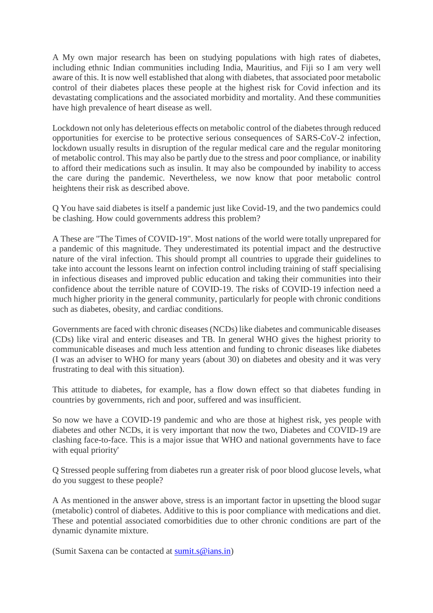A My own major research has been on studying populations with high rates of diabetes, including ethnic Indian communities including India, Mauritius, and Fiji so I am very well aware of this. It is now well established that along with diabetes, that associated poor metabolic control of their diabetes places these people at the highest risk for Covid infection and its devastating complications and the associated morbidity and mortality. And these communities have high prevalence of heart disease as well.

Lockdown not only has deleterious effects on metabolic control of the diabetes through reduced opportunities for exercise to be protective serious consequences of SARS-CoV-2 infection, lockdown usually results in disruption of the regular medical care and the regular monitoring of metabolic control. This may also be partly due to the stress and poor compliance, or inability to afford their medications such as insulin. It may also be compounded by inability to access the care during the pandemic. Nevertheless, we now know that poor metabolic control heightens their risk as described above.

Q You have said diabetes is itself a pandemic just like Covid-19, and the two pandemics could be clashing. How could governments address this problem?

A These are "The Times of COVID-19". Most nations of the world were totally unprepared for a pandemic of this magnitude. They underestimated its potential impact and the destructive nature of the viral infection. This should prompt all countries to upgrade their guidelines to take into account the lessons learnt on infection control including training of staff specialising in infectious diseases and improved public education and taking their communities into their confidence about the terrible nature of COVID-19. The risks of COVID-19 infection need a much higher priority in the general community, particularly for people with chronic conditions such as diabetes, obesity, and cardiac conditions.

Governments are faced with chronic diseases (NCDs) like diabetes and communicable diseases (CDs) like viral and enteric diseases and TB. In general WHO gives the highest priority to communicable diseases and much less attention and funding to chronic diseases like diabetes (I was an adviser to WHO for many years (about 30) on diabetes and obesity and it was very frustrating to deal with this situation).

This attitude to diabetes, for example, has a flow down effect so that diabetes funding in countries by governments, rich and poor, suffered and was insufficient.

So now we have a COVID-19 pandemic and who are those at highest risk, yes people with diabetes and other NCDs, it is very important that now the two, Diabetes and COVID-19 are clashing face-to-face. This is a major issue that WHO and national governments have to face with equal priority'

Q Stressed people suffering from diabetes run a greater risk of poor blood glucose levels, what do you suggest to these people?

A As mentioned in the answer above, stress is an important factor in upsetting the blood sugar (metabolic) control of diabetes. Additive to this is poor compliance with medications and diet. These and potential associated comorbidities due to other chronic conditions are part of the dynamic dynamite mixture.

(Sumit Saxena can be contacted at sumit.s@ians.in)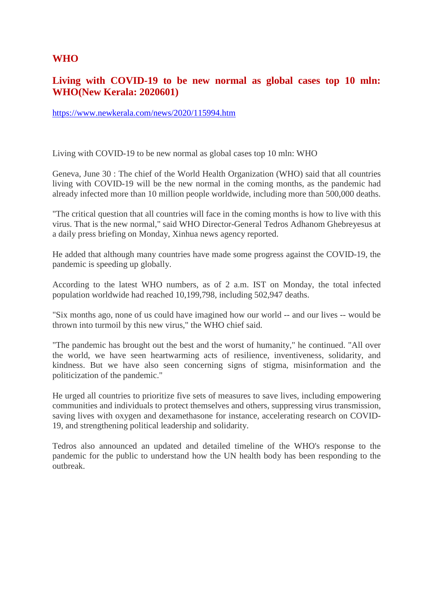#### **WHO**

# **Living with COVID-19 to be new normal as global cases top 10 mln: WHO(New Kerala: 2020601)**

https://www.newkerala.com/news/2020/115994.htm

Living with COVID-19 to be new normal as global cases top 10 mln: WHO

Geneva, June 30 : The chief of the World Health Organization (WHO) said that all countries living with COVID-19 will be the new normal in the coming months, as the pandemic had already infected more than 10 million people worldwide, including more than 500,000 deaths.

"The critical question that all countries will face in the coming months is how to live with this virus. That is the new normal," said WHO Director-General Tedros Adhanom Ghebreyesus at a daily press briefing on Monday, Xinhua news agency reported.

He added that although many countries have made some progress against the COVID-19, the pandemic is speeding up globally.

According to the latest WHO numbers, as of 2 a.m. IST on Monday, the total infected population worldwide had reached 10,199,798, including 502,947 deaths.

"Six months ago, none of us could have imagined how our world -- and our lives -- would be thrown into turmoil by this new virus," the WHO chief said.

"The pandemic has brought out the best and the worst of humanity," he continued. "All over the world, we have seen heartwarming acts of resilience, inventiveness, solidarity, and kindness. But we have also seen concerning signs of stigma, misinformation and the politicization of the pandemic."

He urged all countries to prioritize five sets of measures to save lives, including empowering communities and individuals to protect themselves and others, suppressing virus transmission, saving lives with oxygen and dexamethasone for instance, accelerating research on COVID-19, and strengthening political leadership and solidarity.

Tedros also announced an updated and detailed timeline of the WHO's response to the pandemic for the public to understand how the UN health body has been responding to the outbreak.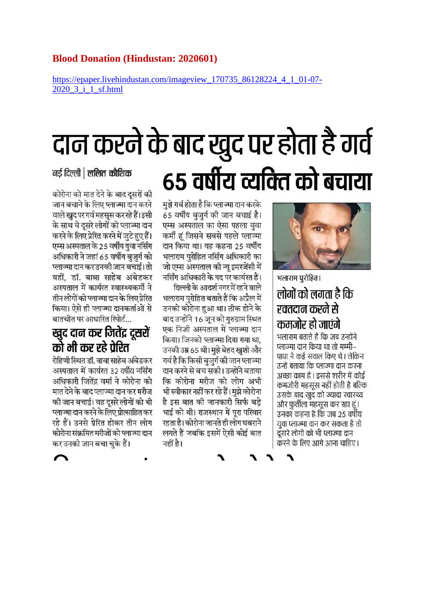# **Blood Donation (Hindustan: 2020601)**

https://epaper.livehindustan.com/imageview\_170735\_86128224\_4\_1\_01-07- 2020\_3\_i\_1\_sf.html

# दान करने के बाद खुद पर होता है गर्व 65 वर्षीय व्यक्ति को बचाया



भलाराम पुरोहित। लोगों को लगता है कि रक्तदान करने से कमजोर हो जाएंगे

भलाराम बताते है कि जब उन्होंने प्लाज्मा दान किया था तो मम्मी– पापा ने कई सवाल किए थे। लेकिन उन्हें बताया कि प्लाज्मा दान करना अच्छा काम है । इससे शरीर में कोई कमजोरी महसूस नहीं होती है बल्कि उसके बाद खुद को ज्यादा स्वास्थ्य और फुर्तीला महसूस कर रहा हूं। उनका कहना है कि जब 25 वर्षीय युवा प्लाज्मा दान कर सकता है तो दूसरे लोगों को भी प्लाज्मा दान करने के लिए आगे आना चाहिए।

मझे गर्व होता है कि प्लाज्मा दान करके 65 वर्षीय बुजुर्ग की जान बचाई है। एम्स अस्पताल का ऐसा पहला युवा कर्मी हं जिसने सबसे पहले प्लाज्मा दान किया था। यह कहना 25 वर्षीय भलाराम पुरोहित नर्सिंग अधिकारी का जो एम्स अस्पताल की न्यू इमरजेंसी में नर्सिंग अधिकारी के पद पर कार्यरत हैं। दिल्ली के आदर्श नगर में रहने वाले

भलाराम पुरोहित बताते हैं कि अप्रैल में उनको कोरोना हुआ था। ठीक होने के बाद उन्होंने 16 जून को गुरुग्राम स्थित एक निजी अस्पताल में प्लाज्मा दान किया। जिनको प्लाज्मा दिया गया था. उनकी उम्र 65 थी। मुझे बेहद खुशी और गर्व है कि किसी बुजुर्ग की जान प्लाज्मा दान करने से बच सकी। उन्होंने बताया कि कोरोना मरीज को लोग अभी भी स्वीकार नहीं कर रहे हैं। मुझे कोरोना है इस बात की जानकारी सिर्फ बड़े भाई को थी। राजस्थान में परा परिवार रहता है। कोरोना जानते ही लोग घबराने लगते हैं जबकि इसमें ऐसी कोई बात नहीं है।

नई दिल्ली | **ललित कौशिक** 

कोरोना को मात देने के बाद दूसरों की जान बचाने के लिए प्लाज्मा दान करने वाले खुद पर गर्व महसूस कर रहे हैं। इसी के साथ वे दूसरे लोगों को प्लाज्मा दान करने के लिए प्रेरित करने में जुटे हुए हैं। एम्स अस्पताल के 25 वर्षीय युवा नर्सिंग अधिकारी ने जहां 65 वर्षीय बुजुर्ग को प्लाज्मा दान कर उनकी जान बचाई। तो वहीं, डॉ. बाबा साहेब अंबेडकर अस्पताल में कार्यरत स्वास्थ्यकर्मी ने तीन लोगों को प्लाज्मा दान के लिए प्रेरित किया। ऐसे ही प्लाज्मा दानकर्ताओं से बातचीत पर आधारित रिपोर्ट...

# खुद दान कर जितेंद्र दूसरों को भी कर रहे प्रेरित

रोहिणी स्थित डॉ. बाबा साहेब अंबेडकर अस्पताल में कार्यरत 32 वर्षीय नर्सिंग अधिकारी जितेंद्र वर्मा ने कोरोना को मात देने के बाद प्लाज्मा दान कर मरीज की जान बचाई। वह दुसरे लोगों को भी प्लाज्मा दान करने के लिए प्रोत्साहित कर रहे हैं। उनसे प्रेरित होकर तीन लोग कोरोना संक्रमित मरीजों को प्लाज्मा दान कर उनकी जान बचा चुके हैं।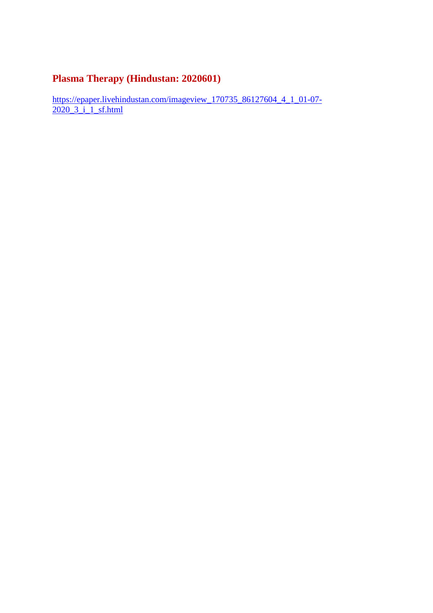# **Plasma Therapy (Hindustan: 2020601)**

https://epaper.livehindustan.com/imageview\_170735\_86127604\_4\_1\_01-07-2020\_3\_i\_1\_sf.html